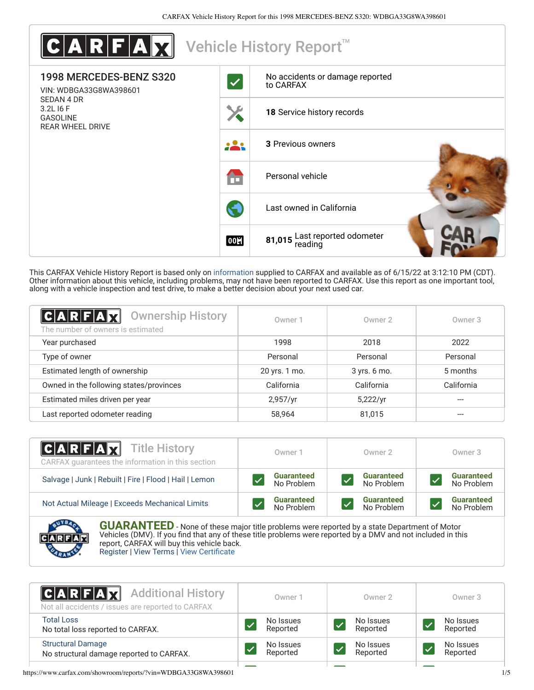

This CARFAX Vehicle History Report is based only on [information](http://www.carfax.com/company/vhr-data-sources) supplied to CARFAX and available as of 6/15/22 at 3:12:10 PM (CDT). Other information about this vehicle, including problems, may not have been reported to CARFAX. Use this report as one important tool, along with a vehicle inspection and test drive, to make a better decision about your next used car.

<span id="page-0-0"></span>

| <b>Ownership History</b><br>$A$ $R$ $F$ $A$ $X$<br>The number of owners is estimated | Owner 1       | Owner 2      | Owner 3    |
|--------------------------------------------------------------------------------------|---------------|--------------|------------|
| Year purchased                                                                       | 1998          | 2018         | 2022       |
| Type of owner                                                                        | Personal      | Personal     | Personal   |
| Estimated length of ownership                                                        | 20 yrs. 1 mo. | 3 yrs. 6 mo. | 5 months   |
| Owned in the following states/provinces                                              | California    | California   | California |
| Estimated miles driven per year                                                      | 2,957/yr      | 5,222/yr     |            |
| Last reported odometer reading                                                       | 58,964        | 81,015       | ---        |

| <b>CARFAX</b> Title History<br>CARFAX guarantees the information in this section | Owner 1                         | Owner 2                         | Owner 3                         |
|----------------------------------------------------------------------------------|---------------------------------|---------------------------------|---------------------------------|
| Salvage   Junk   Rebuilt   Fire   Flood   Hail   Lemon                           | <b>Guaranteed</b><br>No Problem | <b>Guaranteed</b><br>No Problem | <b>Guaranteed</b><br>No Problem |
| Not Actual Mileage   Exceeds Mechanical Limits                                   | <b>Guaranteed</b><br>No Problem | <b>Guaranteed</b><br>No Problem | <b>Guaranteed</b><br>No Problem |
|                                                                                  |                                 |                                 |                                 |



**GUARANTEED** - None of these major title problems were reported by a state Department of Motor Vehicles (DMV). If you find that any of these title problems were reported by a DMV and not included in this report, CARFAX will buy this vehicle back. [Register](https://www.carfax.com/Service/bbg) | [View Terms](https://www.carfax.com/company/carfax-buyback-guarantee-terms-and-conditions) | [View Certificate](https://www.carfax.com/showroom/reports/?vin=WDBGA33G8WA398601)

| <b>CARFAX</b> Additional History<br>Not all accidents / issues are reported to CARFAX | Owner 1   | Owner 2   | Owner 3   |
|---------------------------------------------------------------------------------------|-----------|-----------|-----------|
| <b>Total Loss</b>                                                                     | No Issues | No Issues | No Issues |
| No total loss reported to CARFAX.                                                     | Reported  | Reported  | Reported  |
| <b>Structural Damage</b>                                                              | No Issues | No Issues | No Issues |
| No structural damage reported to CARFAX.                                              | Reported  | Reported  | Reported  |
|                                                                                       |           |           |           |

https://www.carfax.com/showroom/reports/?vin=WDBGA33G8WA398601 1/5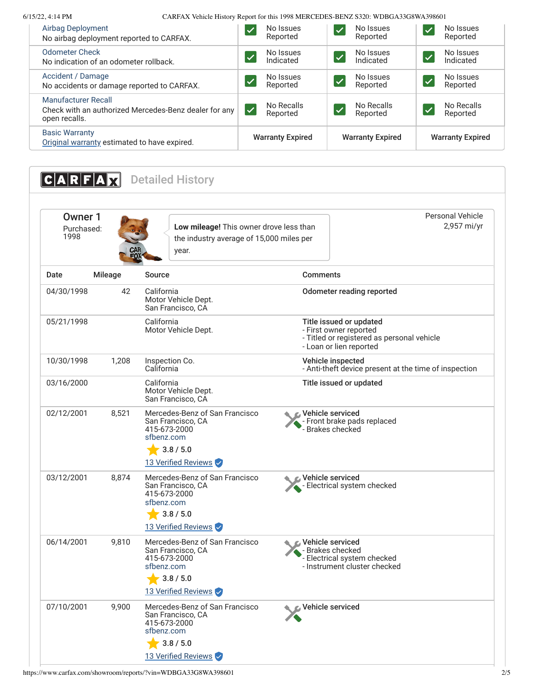6/15/22, 4:14 PM CARFAX Vehicle History Report for this 1998 MERCEDES-BENZ S320: WDBGA33G8WA398601

| Airbag Deployment<br>No airbag deployment reported to CARFAX.                                        | No Issues<br>$\overline{\blacktriangleleft}$<br>Reported | No Issues<br>$\overline{\mathcal{A}}$<br>Reported | No Issues<br><b>і Л</b><br>Reported                |  |
|------------------------------------------------------------------------------------------------------|----------------------------------------------------------|---------------------------------------------------|----------------------------------------------------|--|
| <b>Odometer Check</b><br>No indication of an odometer rollback.                                      | No Issues<br>$\blacktriangledown$<br>Indicated           | No Issues<br>Indicated                            | No Issues<br>$\overline{\mathcal{A}}$<br>Indicated |  |
| Accident / Damage<br>No accidents or damage reported to CARFAX.                                      | No Issues<br>V<br>Reported                               | No Issues<br>$\sqrt{}$<br>Reported                | No Issues<br><b>V</b><br>Reported                  |  |
| <b>Manufacturer Recall</b><br>Check with an authorized Mercedes-Benz dealer for any<br>open recalls. | No Recalls<br>$\blacktriangledown$<br>Reported           | No Recalls<br>$\blacktriangledown$<br>Reported    | No Recalls<br>Ø<br>Reported                        |  |
| <b>Basic Warranty</b><br>Original warranty estimated to have expired.                                | <b>Warranty Expired</b>                                  | <b>Warranty Expired</b>                           | <b>Warranty Expired</b>                            |  |

<span id="page-1-0"></span>**CARFAX** Detailed History Owner 1 Purchased: 1998 **Low mileage!** This owner drove less than the industry average of 15,000 miles per year. Personal Vehicle 2,957 mi/yr Date Mileage Source **Comments** 04/30/1998 42 California Motor Vehicle Dept. San Francisco, CA Odometer reading reported 05/21/1998 California Motor Vehicle Dept. Title issued or updated - First owner reported - Titled or registered as personal vehicle - Loan or lien reported 10/30/1998 1,208 Inspection Co. California Vehicle inspected - Anti-theft device present at the time of inspection 03/16/2000 California Motor Vehicle Dept. San Francisco, CA Title issued or updated 02/12/2001 8,521 [Mercedes-Benz of San Francisco](http://www.sfbenz.com/) San Francisco, CA 415-673-2000 [sfbenz.com](http://www.sfbenz.com/)  $3.8 / 5.0$ 13 Verified Reviews Vehicle serviced - Front brake pads replaced - From *Brakes* checked 03/12/2001 8,874 [Mercedes-Benz of San Francisco](http://www.sfbenz.com/) San Francisco, CA 415-673-2000 [sfbenz.com](http://www.sfbenz.com/)  $\frac{1}{2}$  3.8 / 5.0 13 Verified Reviews Vehicle serviced - Electrical system checked 06/14/2001 9,810 [Mercedes-Benz of San Francisco](http://www.sfbenz.com/) San Francisco, CA 415-673-2000 [sfbenz.com](http://www.sfbenz.com/)  $\bigstar$  3.8 / 5.0 13 Verified Reviews Vehicle serviced - Brakes checked - Electrical system checked - Instrument cluster checked 07/10/2001 9,900 [Mercedes-Benz of San Francisco](http://www.sfbenz.com/) San Francisco, CA 415-673-2000 [sfbenz.com](http://www.sfbenz.com/) 3.8 / 5.0 13 Verified Reviews Vehicle serviced

https://www.carfax.com/showroom/reports/?vin=WDBGA33G8WA398601 2/5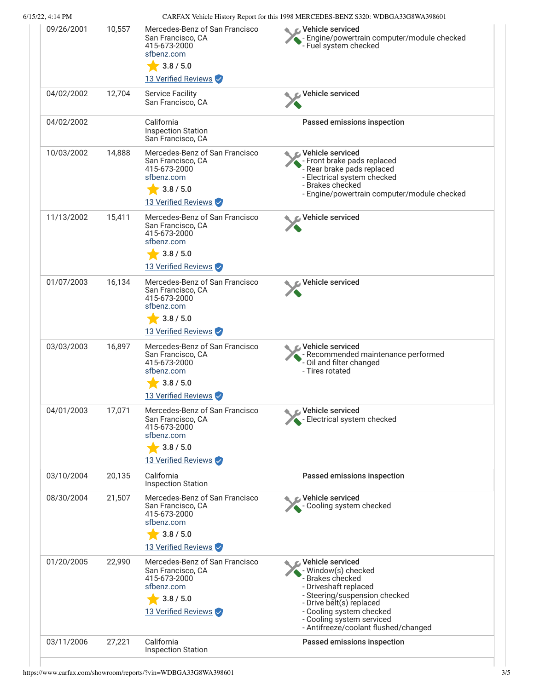#### 6/15/22, 4:14 PM CARFAX Vehicle History Report for this 1998 MERCEDES-BENZ S320: WDBGA33G8WA398601 09/26/2001 10,557 [Mercedes-Benz of San Francisco](http://www.sfbenz.com/) Vehicle serviced - Engine/powertrain computer/module checked San Francisco, CA - Engine, power want to 415-673-2000 [sfbenz.com](http://www.sfbenz.com/)  $3.8 / 5.0$ 13 Verified Reviews 04/02/2002 12,704 Service Facility Vehicle serviced San Francisco, CA 04/02/2002 California Passed emissions inspection Inspection Station San Francisco, CA 10/03/2002 14,888 [Mercedes-Benz of San Francisco](http://www.sfbenz.com/) Vehicle serviced Ċ. San Francisco, CA - Front brake pads replaced **FFOLUT DIANO PARKS**<br>- Rear brake pads replaced 415-673-2000 - Electrical system checked [sfbenz.com](http://www.sfbenz.com/) - Brakes checked  $\frac{1}{2}$  3.8 / 5.0 - Engine/powertrain computer/module checked 13 Verified Reviews 11/13/2002 15,411 [Mercedes-Benz of San Francisco](http://www.sfbenz.com/) Vehicle serviced c San Francisco, CA 415-673-2000 [sfbenz.com](http://www.sfbenz.com/)  $3.8 / 5.0$ 13 Verified Reviews 01/07/2003 16,134 [Mercedes-Benz of San Francisco](http://www.sfbenz.com/) Vehicle serviced San Francisco, CA 415-673-2000 [sfbenz.com](http://www.sfbenz.com/)  $3.8 / 5.0$ 13 Verified Reviews 03/03/2003 16,897 [Mercedes-Benz of San Francisco](http://www.sfbenz.com/) Vehicle serviced Ċ. San Francisco, CA - Recommended maintenance performed 415-673-2000 - Oil and filter changed [sfbenz.com](http://www.sfbenz.com/) - Tires rotated  $\bigstar$  3.8 / 5.0 13 Verified Reviews 04/01/2003 17,071 [Mercedes-Benz of San Francisco](http://www.sfbenz.com/) Vehicle serviced San Francisco, CA - Electrical system checked 415-673-2000 [sfbenz.com](http://www.sfbenz.com/)  $-3.8 / 5.0$ 13 Verified Reviews 03/10/2004 20,135 California Passed emissions inspection Inspection Station 08/30/2004 21,507 [Mercedes-Benz of San Francisco](http://www.sfbenz.com/) Vehicle serviced San Francisco, CA - Cooling system checked 415-673-2000 [sfbenz.com](http://www.sfbenz.com/)  $3.8 / 5.0$ 13 Verified Reviews 01/20/2005 22,990 [Mercedes-Benz of San Francisco](http://www.sfbenz.com/)  $\boldsymbol{\epsilon}$  Vehicle serviced San Francisco, CA - Window(s) checked 415-673-2000 - Brakes checked [sfbenz.com](http://www.sfbenz.com/) - Driveshaft replaced - Steering/suspension checked  $-3.8 / 5.0$ - Drive belt(s) replaced 13 Verified Reviews - Cooling system checked - Cooling system serviced - Antifreeze/coolant flushed/changed 03/11/2006 27,221 California Passed emissions inspectionInspection Station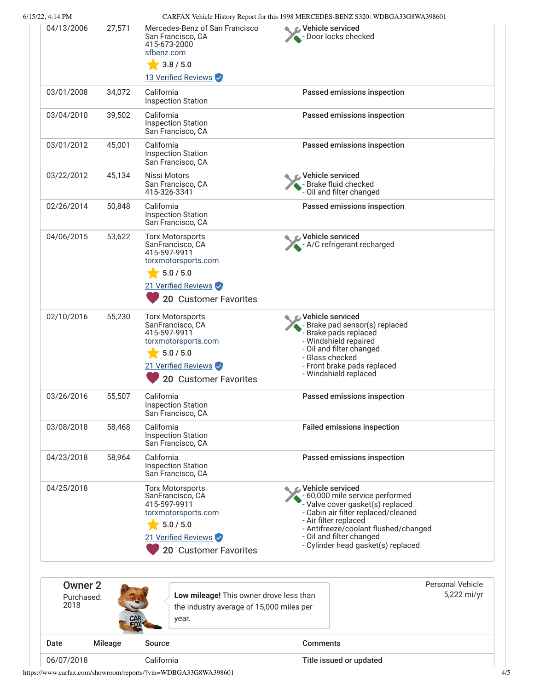|                                          |         | California                                                                                                                                      | Title issued or updated                                                                                                                                                                                                                                             |                                        |
|------------------------------------------|---------|-------------------------------------------------------------------------------------------------------------------------------------------------|---------------------------------------------------------------------------------------------------------------------------------------------------------------------------------------------------------------------------------------------------------------------|----------------------------------------|
| Date                                     | Mileage | Source                                                                                                                                          | <b>Comments</b>                                                                                                                                                                                                                                                     |                                        |
| Owner <sub>2</sub><br>Purchased:<br>2018 |         | Low mileage! This owner drove less than<br>the industry average of 15,000 miles per<br>year.                                                    |                                                                                                                                                                                                                                                                     | <b>Personal Vehicle</b><br>5,222 mi/yr |
| 04/25/2018                               |         | <b>Torx Motorsports</b><br>SanFrancisco, CA<br>415-597-9911<br>torxmotorsports.com<br>5.0 / 5.0<br>21 Verified Reviews<br>20 Customer Favorites | C Vehicle serviced<br>- 60,000 mile service performed<br>- Valve cover gasket(s) replaced<br>- Cabin air filter replaced/cleaned<br>- Air filter replaced<br>- Antifreeze/coolant flushed/changed<br>- Oil and filter changed<br>- Cylinder head gasket(s) replaced |                                        |
| 04/23/2018                               | 58,964  | California<br><b>Inspection Station</b><br>San Francisco, CA                                                                                    | Passed emissions inspection                                                                                                                                                                                                                                         |                                        |
| 03/08/2018                               | 58,468  | California<br><b>Inspection Station</b><br>San Francisco, CA                                                                                    | <b>Failed emissions inspection</b>                                                                                                                                                                                                                                  |                                        |
| 03/26/2016                               | 55,507  | California<br><b>Inspection Station</b><br>San Francisco, CA                                                                                    | Passed emissions inspection                                                                                                                                                                                                                                         |                                        |
| 02/10/2016                               | 55,230  | <b>Torx Motorsports</b><br>SanFrancisco, CA<br>415-597-9911<br>torxmotorsports.com<br>5.0 / 5.0<br>21 Verified Reviews<br>20 Customer Favorites | <b>⊘</b> Vehicle serviced<br>Brake pad sensor(s) replaced<br>Brake pads replaced<br>- Windshield repaired<br>- Oil and filter changed<br>- Glass checked<br>- Front brake pads replaced<br>- Windshield replaced                                                    |                                        |
| 04/06/2015                               | 53,622  | <b>Torx Motorsports</b><br>SanFrancisco, CA<br>415-597-9911<br>torxmotorsports.com<br>5.0 / 5.0<br>21 Verified Reviews<br>20 Customer Favorites | Vehicle serviced<br>- A/C refrigerant recharged                                                                                                                                                                                                                     |                                        |
| 02/26/2014                               | 50,848  | California<br><b>Inspection Station</b><br>San Francisco, CA                                                                                    | Passed emissions inspection                                                                                                                                                                                                                                         |                                        |
| 03/22/2012                               | 45,134  | Nissi Motors<br>San Francisco, CA<br>415-326-3341                                                                                               | Vehicle serviced<br>- Brake fluid checked<br>- Oil and filter changed                                                                                                                                                                                               |                                        |
| 03/01/2012                               | 45,001  | California<br><b>Inspection Station</b><br>San Francisco, CA                                                                                    | Passed emissions inspection                                                                                                                                                                                                                                         |                                        |
| 03/04/2010                               | 39,502  | California<br><b>Inspection Station</b><br>San Francisco, CA                                                                                    | Passed emissions inspection                                                                                                                                                                                                                                         |                                        |
| 03/01/2008                               | 34,072  | California<br><b>Inspection Station</b>                                                                                                         | Passed emissions inspection                                                                                                                                                                                                                                         |                                        |
|                                          |         | 3.8 / 5.0<br>13 Verified Reviews                                                                                                                |                                                                                                                                                                                                                                                                     |                                        |
|                                          | 27,571  | Mercedes-Benz of San Francisco<br>San Francisco, CA<br>415-673-2000<br>sfbenz.com                                                               | C Vehicle serviced<br>- Door locks checked                                                                                                                                                                                                                          |                                        |

https://www.carfax.com/showroom/reports/?vin=WDBGA33G8WA398601 4/5